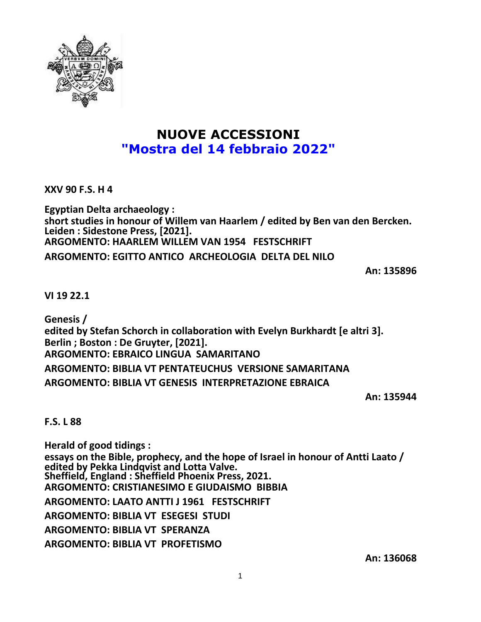

# **NUOVE ACCESSIONI "Mostra del 14 febbraio 2022"**

**XXV 90 F.S. H 4**

**Egyptian Delta archaeology : short studies in honour of Willem van Haarlem / edited by Ben van den Bercken. Leiden : Sidestone Press, [2021]. ARGOMENTO: HAARLEM WILLEM VAN 1954 FESTSCHRIFT ARGOMENTO: EGITTO ANTICO ARCHEOLOGIA DELTA DEL NILO**

**An: 135896**

**VI 19 22.1**

**Genesis / edited by Stefan Schorch in collaboration with Evelyn Burkhardt [e altri 3]. Berlin ; Boston : De Gruyter, [2021]. ARGOMENTO: EBRAICO LINGUA SAMARITANO ARGOMENTO: BIBLIA VT PENTATEUCHUS VERSIONE SAMARITANA ARGOMENTO: BIBLIA VT GENESIS INTERPRETAZIONE EBRAICA**

**An: 135944**

### **F.S. L 88**

**Herald of good tidings : essays on the Bible, prophecy, and the hope of Israel in honour of Antti Laato / edited by Pekka Lindqvist and Lotta Valve. Sheffield, England : Sheffield Phoenix Press, 2021. ARGOMENTO: CRISTIANESIMO E GIUDAISMO BIBBIA ARGOMENTO: LAATO ANTTI J 1961 FESTSCHRIFT ARGOMENTO: BIBLIA VT ESEGESI STUDI ARGOMENTO: BIBLIA VT SPERANZA ARGOMENTO: BIBLIA VT PROFETISMO**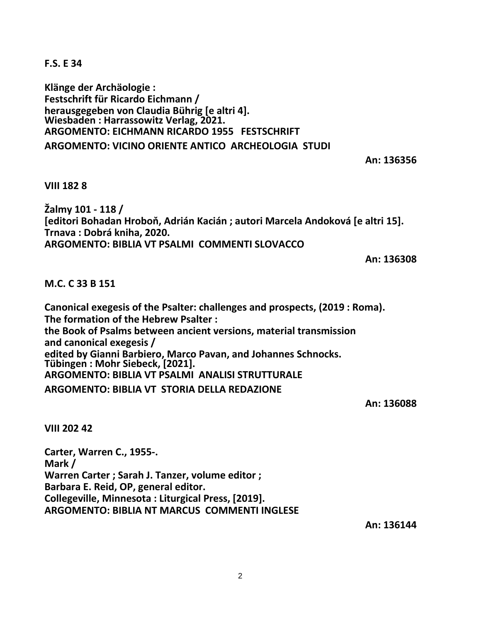**F.S. E 34**

**Klänge der Archäologie : Festschrift für Ricardo Eichmann / herausgegeben von Claudia Bührig [e altri 4]. Wiesbaden : Harrassowitz Verlag, 2021. ARGOMENTO: EICHMANN RICARDO 1955 FESTSCHRIFT ARGOMENTO: VICINO ORIENTE ANTICO ARCHEOLOGIA STUDI**

### **An: 136356**

**VIII 182 8**

**Žalmy 101 - 118 / [editori Bohadan Hroboň, Adrián Kacián ; autori Marcela Andoková [e altri 15]. Trnava : Dobrá kniha, 2020. ARGOMENTO: BIBLIA VT PSALMI COMMENTI SLOVACCO**

**An: 136308**

### **M.C. C 33 B 151**

**Canonical exegesis of the Psalter: challenges and prospects, (2019 : Roma). The formation of the Hebrew Psalter : the Book of Psalms between ancient versions, material transmission and canonical exegesis / edited by Gianni Barbiero, Marco Pavan, and Johannes Schnocks. Tübingen : Mohr Siebeck, [2021]. ARGOMENTO: BIBLIA VT PSALMI ANALISI STRUTTURALE ARGOMENTO: BIBLIA VT STORIA DELLA REDAZIONE**

**An: 136088**

**VIII 202 42**

**Carter, Warren C., 1955-. Mark / Warren Carter ; Sarah J. Tanzer, volume editor ; Barbara E. Reid, OP, general editor. Collegeville, Minnesota : Liturgical Press, [2019]. ARGOMENTO: BIBLIA NT MARCUS COMMENTI INGLESE**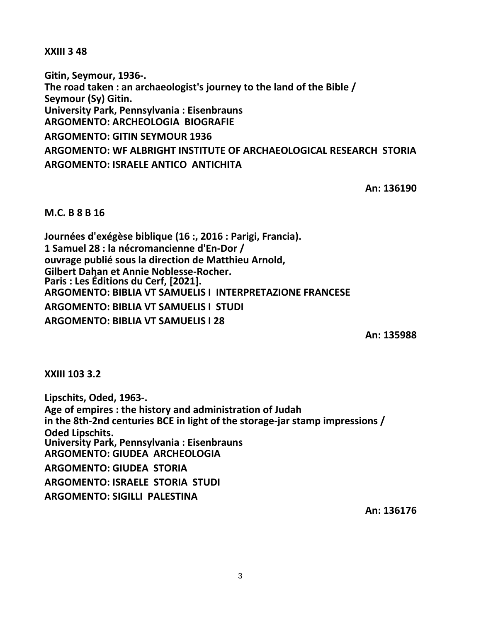**XXIII 3 48**

**Gitin, Seymour, 1936-. The road taken : an archaeologist's journey to the land of the Bible / Seymour (Sy) Gitin. University Park, Pennsylvania : Eisenbrauns ARGOMENTO: ARCHEOLOGIA BIOGRAFIE ARGOMENTO: GITIN SEYMOUR 1936 ARGOMENTO: WF ALBRIGHT INSTITUTE OF ARCHAEOLOGICAL RESEARCH STORIA ARGOMENTO: ISRAELE ANTICO ANTICHITA**

**An: 136190**

**M.C. B 8 B 16**

**Journées d'exégèse biblique (16 :, 2016 : Parigi, Francia). 1 Samuel 28 : la nécromancienne d'En-Dor / ouvrage publié sous la direction de Matthieu Arnold, Gilbert Dahan et Annie Noblesse-Rocher. Paris : Les Éditions du Cerf, [2021]. ARGOMENTO: BIBLIA VT SAMUELIS I INTERPRETAZIONE FRANCESE ARGOMENTO: BIBLIA VT SAMUELIS I STUDI ARGOMENTO: BIBLIA VT SAMUELIS I 28**

**An: 135988**

**XXIII 103 3.2**

**Lipschits, Oded, 1963-. Age of empires : the history and administration of Judah in the 8th-2nd centuries BCE in light of the storage-jar stamp impressions / Oded Lipschits. University Park, Pennsylvania : Eisenbrauns ARGOMENTO: GIUDEA ARCHEOLOGIA ARGOMENTO: GIUDEA STORIA ARGOMENTO: ISRAELE STORIA STUDI ARGOMENTO: SIGILLI PALESTINA**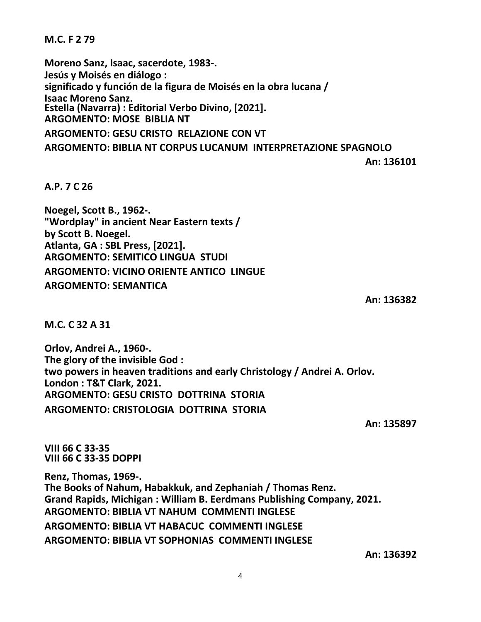**M.C. F 2 79**

**Moreno Sanz, Isaac, sacerdote, 1983-. Jesús y Moisés en diálogo : significado y función de la figura de Moisés en la obra lucana / Isaac Moreno Sanz. Estella (Navarra) : Editorial Verbo Divino, [2021]. ARGOMENTO: MOSE BIBLIA NT ARGOMENTO: GESU CRISTO RELAZIONE CON VT**

**ARGOMENTO: BIBLIA NT CORPUS LUCANUM INTERPRETAZIONE SPAGNOLO**

**An: 136101**

**A.P. 7 C 26**

**Noegel, Scott B., 1962-. "Wordplay" in ancient Near Eastern texts / by Scott B. Noegel. Atlanta, GA : SBL Press, [2021]. ARGOMENTO: SEMITICO LINGUA STUDI ARGOMENTO: VICINO ORIENTE ANTICO LINGUE ARGOMENTO: SEMANTICA**

**An: 136382**

**M.C. C 32 A 31**

**Orlov, Andrei A., 1960-. The glory of the invisible God : two powers in heaven traditions and early Christology / Andrei A. Orlov. London : T&T Clark, 2021. ARGOMENTO: GESU CRISTO DOTTRINA STORIA ARGOMENTO: CRISTOLOGIA DOTTRINA STORIA**

**An: 135897**

**VIII 66 C 33-35 VIII 66 C 33-35 DOPPI**

**Renz, Thomas, 1969-. The Books of Nahum, Habakkuk, and Zephaniah / Thomas Renz. Grand Rapids, Michigan : William B. Eerdmans Publishing Company, 2021. ARGOMENTO: BIBLIA VT NAHUM COMMENTI INGLESE ARGOMENTO: BIBLIA VT HABACUC COMMENTI INGLESE ARGOMENTO: BIBLIA VT SOPHONIAS COMMENTI INGLESE**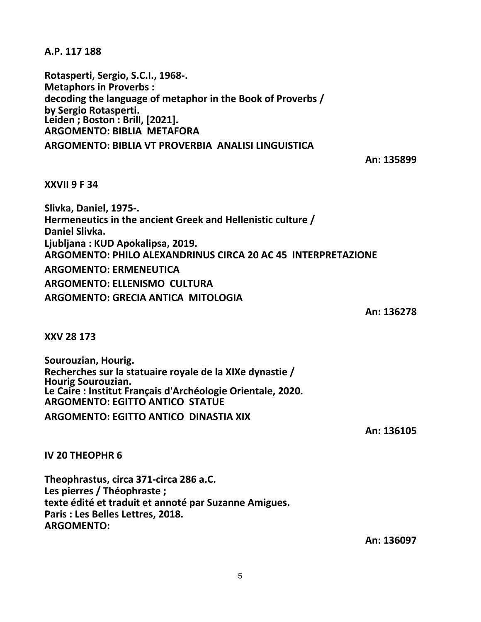**A.P. 117 188**

**Rotasperti, Sergio, S.C.I., 1968-. Metaphors in Proverbs : decoding the language of metaphor in the Book of Proverbs / by Sergio Rotasperti. Leiden ; Boston : Brill, [2021]. ARGOMENTO: BIBLIA METAFORA**

# **ARGOMENTO: BIBLIA VT PROVERBIA ANALISI LINGUISTICA**

# **An: 135899**

## **XXVII 9 F 34**

**Slivka, Daniel, 1975-. Hermeneutics in the ancient Greek and Hellenistic culture / Daniel Slivka. Ljubljana : KUD Apokalipsa, 2019. ARGOMENTO: PHILO ALEXANDRINUS CIRCA 20 AC 45 INTERPRETAZIONE ARGOMENTO: ERMENEUTICA ARGOMENTO: ELLENISMO CULTURA ARGOMENTO: GRECIA ANTICA MITOLOGIA**

**An: 136278**

**XXV 28 173**

**Sourouzian, Hourig. Recherches sur la statuaire royale de la XIXe dynastie / Hourig Sourouzian. Le Caire : Institut Français d'Archéologie Orientale, 2020. ARGOMENTO: EGITTO ANTICO STATUE**

**ARGOMENTO: EGITTO ANTICO DINASTIA XIX**

**An: 136105**

**IV 20 THEOPHR 6**

**Theophrastus, circa 371-circa 286 a.C. Les pierres / Théophraste ; texte édité et traduit et annoté par Suzanne Amigues. Paris : Les Belles Lettres, 2018. ARGOMENTO:**